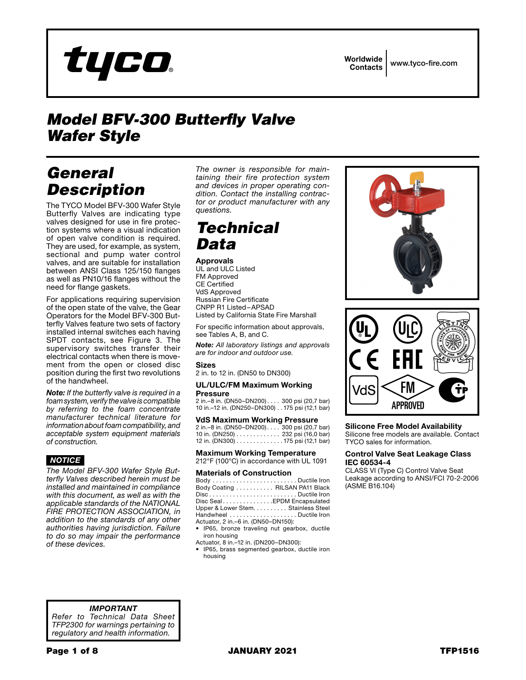

# *Model BFV-300 Butterfly Valve Wafer Style*

# *General Description*

The TYCO Model BFV-300 Wafer Style Butterfly Valves are indicating type valves designed for use in fire protection systems where a visual indication of open valve condition is required. They are used, for example, as system, sectional and pump water control valves, and are suitable for installation between ANSI Class 125/150 flanges as well as PN10/16 flanges without the need for flange gaskets.

For applications requiring supervision of the open state of the valve, the Gear Operators for the Model BFV-300 Butterfly Valves feature two sets of factory installed internal switches each having SPDT contacts, see Figure 3. The supervisory switches transfer their electrical contacts when there is movement from the open or closed disc position during the first two revolutions of the handwheel.

*Note: If the butterfly valve is required in a foam system, verify the valve is compatible by referring to the foam concentrate manufacturer technical literature for information about foam compatibility, and acceptable system equipment materials of construction.*

## *NOTICE*

*The Model BFV-300 Wafer Style Butterfly Valves described herein must be installed and maintained in compliance with this document, as well as with the applicable standards of the NATIONAL FIRE PROTECTION ASSOCIATION, in addition to the standards of any other authorities having jurisdiction. Failure to do so may impair the performance of these devices.*

*The owner is responsible for maintaining their fire protection system and devices in proper operating condition. Contact the installing contractor or product manufacturer with any questions.*

# *Technical Data*

### Approvals

UL and ULC Listed FM Approved CE Certified VdS Approved Russian Fire Certificate CNPP R1 Listed–APSAD Listed by California State Fire Marshall

For specific information about approvals, see Tables A, B, and C.

*Note: All laboratory listings and approvals are for indoor and outdoor use.*

### Sizes

2 in. to 12 in. (DN50 to DN300)

#### UL/ULC/FM Maximum Working Pressure

2 in.–8 in. (DN50–DN200). . . 300 psi (20,7 bar) 10 in.–12 in. (DN250–DN300). . 175 psi (12,1 bar)

#### VdS Maximum Working Pressure

2 in.–8 in. (DN50–DN200). . . 300 psi (20,7 bar) 10 in. (DN250) . . . . . . . . . . . . . 232 psi (16,0 bar) 12 in. (DN300) . . . . . . . . . . . . . . 175 psi (12,1 bar)

Maximum Working Temperature 212°F (100°C) in accordance with UL 1091

#### Materials of Construction

| Body Coating  RILSAN PA11 Black      |  |
|--------------------------------------|--|
|                                      |  |
| Disc Seal EPDM Encapsulated          |  |
| Upper & Lower Stem. Stainless Steel  |  |
| Handwheel Ductile Iron               |  |
| Actuator, 2 in. -6 in. (DN50-DN150): |  |

• IP65, bronze traveling nut gearbox, ductile iron housing

Actuator, 8 in.–12 in. (DN200–DN300):

• IP65, brass segmented gearbox, ductile iron housing



### Silicone Free Model Availability

Silicone free models are available. Contact TYCO sales for information.

#### Control Valve Seat Leakage Class IEC 60534-4

CLASS VI (Type C) Control Valve Seat Leakage according to ANSI/FCI 70-2-2006 (ASME B16.104)

*IMPORTANT*

*Refer to Technical Data Sheet TFP2300 for warnings pertaining to regulatory and health information.*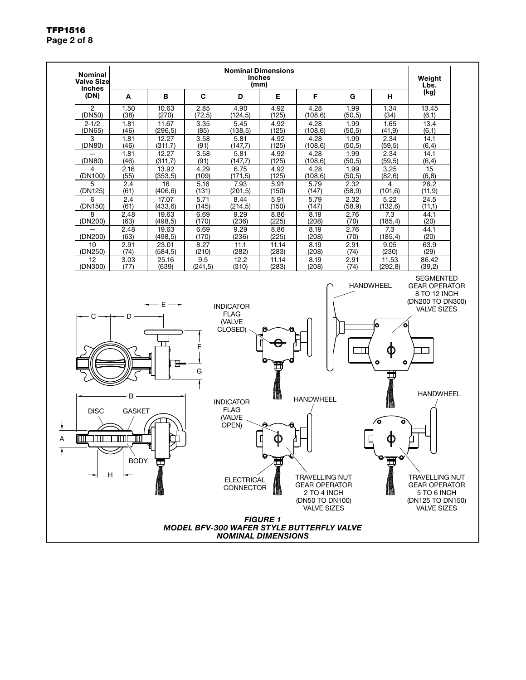

## TFP1516 Page 2 of 8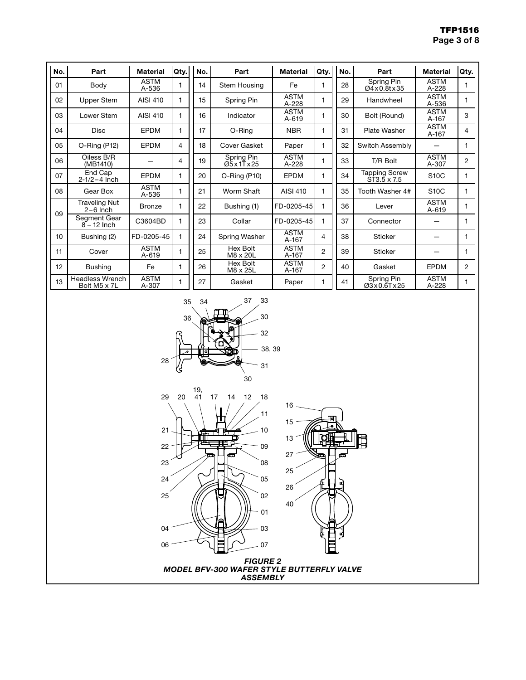| No.             | Part                                   | <b>Material</b>          | Qty. | No. | Part                   | <b>Material</b>          | Qty. | No. | Part                                | <b>Material</b>          | Qty.           |
|-----------------|----------------------------------------|--------------------------|------|-----|------------------------|--------------------------|------|-----|-------------------------------------|--------------------------|----------------|
| 01              | Body                                   | <b>ASTM</b><br>A-536     |      | 14  | Stem Housing           | Fe                       | 1    | 28  | Spring Pin<br>Ø4x0.8tx35            | <b>ASTM</b><br>A-228     |                |
| 02              | Upper Stem                             | AISI 410                 | 1    | 15  | Spring Pin             | <b>ASTM</b><br>$A-228$   | 1    | 29  | Handwheel                           | <b>ASTM</b><br>A-536     |                |
| 03              | Lower Stem                             | AISI 410                 | 1    | 16  | Indicator              | <b>ASTM</b><br>$A - 619$ | 1    | 30  | Bolt (Round)                        | <b>ASTM</b><br>A-167     | 3              |
| 04              | Disc                                   | <b>EPDM</b>              | 1    | 17  | O-Ring                 | <b>NBR</b>               | 1    | 31  | Plate Washer                        | <b>ASTM</b><br>A-167     | 4              |
| 05              | O-Ring (P12)                           | <b>EPDM</b>              | 4    | 18  | Cover Gasket           | Paper                    | 1    | 32  | Switch Assembly                     |                          |                |
| 06              | Oiless B/R<br>(MB1410)                 |                          | 4    | 19  | Spring Pin<br>Ø5x1Tx25 | <b>ASTM</b><br>A-228     | 1    | 33  | T/R Bolt                            | <b>ASTM</b><br>A-307     | $\overline{2}$ |
| 07              | End Cap<br>$2 - 1/2 - 4$ lnch          | <b>EPDM</b>              | 1    | 20  | $O-Ring(P10)$          | <b>EPDM</b>              | 1    | 34  | <b>Tapping Screw</b><br>ST3.5 x 7.5 | S10C                     |                |
| 08              | Gear Box                               | <b>ASTM</b><br>A-536     | 1    | 21  | Worm Shaft             | AISI 410                 | 1    | 35  | Tooth Washer 4#                     | <b>S10C</b>              |                |
| 09              | <b>Traveling Nut</b><br>$2-6$ Inch     | <b>Bronze</b>            | 1    | 22  | Bushing (1)            | FD-0205-45               | 1    | 36  | Lever                               | <b>ASTM</b><br>$A - 619$ |                |
|                 | Segment Gear<br>$8 - 12$ Inch          | C3604BD                  | 1    | 23  | Collar                 | FD-0205-45               | 1    | 37  | Connector                           |                          |                |
| 10 <sup>1</sup> | Bushing (2)                            | FD-0205-45               | 1    | 24  | Spring Washer          | <b>ASTM</b><br>A-167     | 4    | 38  | <b>Sticker</b>                      |                          |                |
| 11              | Cover                                  | <b>ASTM</b><br>$A - 619$ | 1    | 25  | Hex Bolt<br>M8 x 20L   | <b>ASTM</b><br>A-167     | 2    | 39  | <b>Sticker</b>                      |                          |                |
| 12              | <b>Bushing</b>                         | Fe                       | 1    | 26  | Hex Bolt<br>M8 x 25L   | <b>ASTM</b><br>A-167     | 2    | 40  | Gasket                              | <b>EPDM</b>              | $\overline{2}$ |
| 13              | <b>Headless Wrench</b><br>Bolt M5 x 7L | <b>ASTM</b><br>A-307     | 1    | 27  | Gasket                 | Paper                    | 1    | 41  | Spring Pin<br>Ø3x0.6Tx25            | <b>ASTM</b><br>A-228     |                |





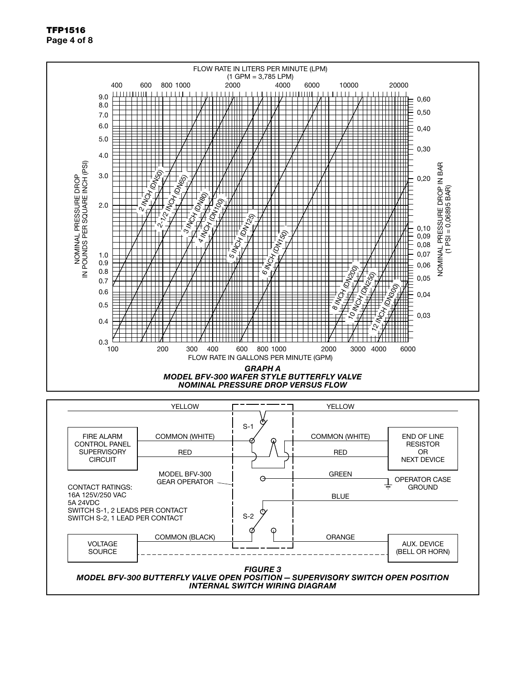### TFP1516 Page 4 of 8



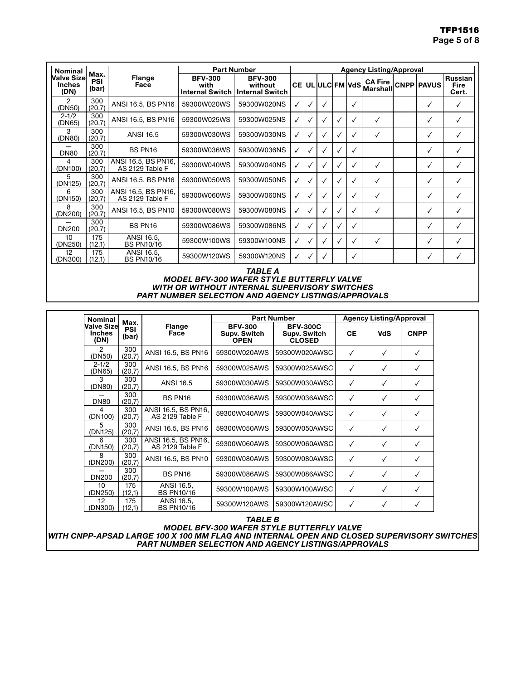| Nominal                              |                      | <b>Part Number</b>                     |                                                             |                           | <b>Agency Listing/Approval</b> |              |              |   |              |                           |  |            |                          |
|--------------------------------------|----------------------|----------------------------------------|-------------------------------------------------------------|---------------------------|--------------------------------|--------------|--------------|---|--------------|---------------------------|--|------------|--------------------------|
| Valve Sizel<br><b>Inches</b><br>(DN) | Max.<br>PSI<br>(bar) | <b>Flange</b><br>Face                  | <b>BFV-300</b><br>with<br>Internal Switch   Internal Switch | <b>BFV-300</b><br>without |                                |              |              |   |              | CE UL ULC FM VdS Marshall |  | CNPP PAVUS | Russian<br>Fire<br>Cert. |
| 2<br>(DN50)                          | 300<br>(20,7)        | ANSI 16.5, BS PN16                     | 59300W020WS                                                 | 59300W020NS               | ✓                              | √            | $\checkmark$ |   | ✓            |                           |  | ✓          | ✓                        |
| $2 - 1/2$<br>(DN65)                  | 300<br>(20,7)        | ANSI 16.5, BS PN16                     | 59300W025WS                                                 | 59300W025NS               | $\checkmark$                   | v            | ✓            |   | ✓            | ✓                         |  | ✓          | √                        |
| 3<br>(DN80)                          | 300<br>(20,7)        | <b>ANSI 16.5</b>                       | 59300W030WS                                                 | 59300W030NS               | ✓                              |              | ✓            |   | √            | ✓                         |  | ✓          | ✓                        |
| <b>DN80</b>                          | 300<br>(20,7)        | BS PN16                                | 59300W036WS                                                 | 59300W036NS               | ✓                              |              | ✓            |   | $\checkmark$ |                           |  | ✓          | ✓                        |
| 4<br>(DN100)                         | 300<br>(20,7)        | ANSI 16.5, BS PN16,<br>AS 2129 Table F | 59300W040WS                                                 | 59300W040NS               | ✓                              |              | ✓            |   | ✓            | ✓                         |  | ✓          | $\checkmark$             |
| 5<br>(DN125)                         | 300<br>(20,7)        | ANSI 16.5, BS PN16                     | 59300W050WS                                                 | 59300W050NS               | $\checkmark$                   | √            | ✓            |   | ✓            | ✓                         |  | ✓          | ✓                        |
| 6<br>(DN150)                         | 300<br>(20,7)        | ANSI 16.5, BS PN16,<br>AS 2129 Table F | 59300W060WS                                                 | 59300W060NS               | $\checkmark$                   |              |              |   | √            | $\checkmark$              |  | ✓          | ✓                        |
| 8<br>(DN200)                         | 300<br>(20,7)        | ANSI 16.5, BS PN10                     | 59300W080WS                                                 | 59300W080NS               | $\checkmark$                   |              | ✓            |   | ✓            | ✓                         |  | ✓          | √                        |
| <b>DN200</b>                         | 300<br>(20,7)        | BS PN16                                | 59300W086WS                                                 | 59300W086NS               | ✓                              |              | $\checkmark$ |   | √            |                           |  | ✓          | ✓                        |
| 10<br>(DN250)                        | 175<br>(12,1)        | ANSI 16.5,<br><b>BS PN10/16</b>        | 59300W100WS                                                 | 59300W100NS               | $\checkmark$                   | $\checkmark$ | $\checkmark$ | √ | ✓            | ✓                         |  | ✓          | $\checkmark$             |
| 12<br>(DN300)                        | 175<br>(12,1)        | ANSI 16.5,<br><b>BS PN10/16</b>        | 59300W120WS                                                 | 59300W120NS               | ✓                              |              | $\checkmark$ |   | √            |                           |  | ✓          | ✓                        |

#### *TABLE A MODEL BFV-300 WAFER STYLE BUTTERFLY VALVE WITH OR WITHOUT INTERNAL SUPERVISORY SWITCHES PART NUMBER SELECTION AND AGENCY LISTINGS/APPROVALS*

| <b>Nominal</b>                       | <b>Part Number</b><br>Max. |                                        |                                               |                                                  |              | <b>Agency Listing/Approval</b> |              |
|--------------------------------------|----------------------------|----------------------------------------|-----------------------------------------------|--------------------------------------------------|--------------|--------------------------------|--------------|
| <b>Valve Sizel</b><br>Inches<br>(DN) | <b>PSI</b><br>(bar)        | <b>Flange</b><br>Face                  | <b>BFV-300</b><br>Supv. Switch<br><b>OPEN</b> | <b>BFV-300C</b><br>Supv. Switch<br><b>CLOSED</b> | <b>CE</b>    | <b>VdS</b>                     | <b>CNPP</b>  |
| 2<br>(DN50)                          | 300<br>(20,7)              | ANSI 16.5, BS PN16                     | 59300W020AWS                                  | 59300W020AWSC                                    | $\checkmark$ | ✓                              | $\checkmark$ |
| $2 - 1/2$<br>(DN65)                  | 300<br>(20,7)              | ANSI 16.5, BS PN16                     | 59300W025AWS                                  | 59300W025AWSC                                    | ✓            | ✓                              | √            |
| 3<br>(DN80)                          | 300<br>(20,7)              | <b>ANSI 16.5</b>                       | 59300W030AWS                                  | 59300W030AWSC                                    | ✓            | ✓                              | ✓            |
| <b>DN80</b>                          | 300<br>(20,7)              | BS PN16                                | 59300W036AWS                                  | 59300W036AWSC                                    | ✓            | ✓                              | $\checkmark$ |
| 4<br>(DN100)                         | 300<br>(20,7)              | ANSI 16.5, BS PN16,<br>AS 2129 Table F | 59300W040AWS                                  | 59300W040AWSC                                    | $\checkmark$ | ✓                              | ✓            |
| 5<br>(DN125)                         | 300<br>(20,7)              | ANSI 16.5, BS PN16                     | 59300W050AWS                                  | 59300W050AWSC                                    | $\checkmark$ | ✓                              | ✓            |
| 6<br>(DN150)                         | 300<br>(20,7)              | ANSI 16.5, BS PN16,<br>AS 2129 Table F | 59300W060AWS                                  | 59300W060AWSC                                    | ✓            | ✓                              | ✓            |
| 8<br>(DN200)                         | 300<br>(20,7)              | ANSI 16.5, BS PN10                     | 59300W080AWS                                  | 59300W080AWSC                                    | ✓            | ✓                              | ✓            |
| <b>DN200</b>                         | 300<br>(20,7)              | BS PN16                                | 59300W086AWS                                  | 59300W086AWSC                                    | $\checkmark$ | ✓                              | ✓            |
| 10<br>(DN250)                        | 175<br>(12,1)              | ANSI 16.5,<br><b>BS PN10/16</b>        | 59300W100AWS                                  | 59300W100AWSC                                    | $\checkmark$ | $\checkmark$                   | ✓            |
| 12<br>DN300)                         | 175<br>(12,1)              | ANSI 16.5.<br><b>BS PN10/16</b>        | 59300W120AWS                                  | 59300W120AWSC                                    | ✓            | ✓                              | ✓            |

*TABLE B*

*MODEL BFV-300 WAFER STYLE BUTTERFLY VALVE WITH CNPP-APSAD LARGE 100 X 100 MM FLAG AND INTERNAL OPEN AND CLOSED SUPERVISORY SWITCHES PART NUMBER SELECTION AND AGENCY LISTINGS/APPROVALS*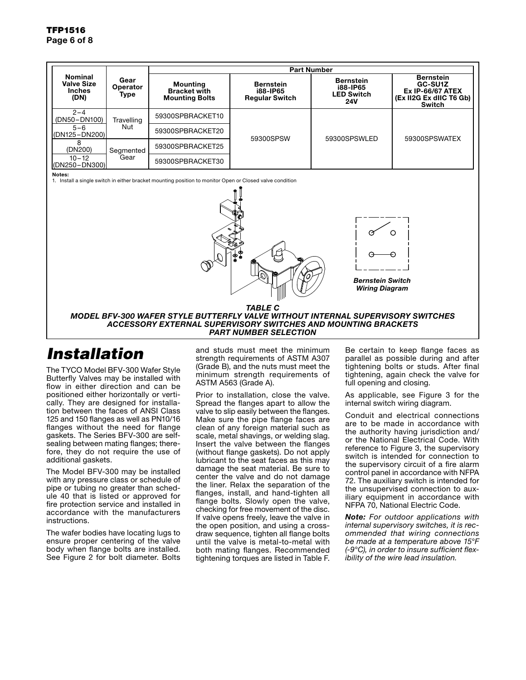|                                                                                                                    |            |                                                                 | <b>Part Number</b>                                    |                                                                 |                                                                                                    |  |  |  |  |  |
|--------------------------------------------------------------------------------------------------------------------|------------|-----------------------------------------------------------------|-------------------------------------------------------|-----------------------------------------------------------------|----------------------------------------------------------------------------------------------------|--|--|--|--|--|
| <b>Nominal</b><br>Gear<br><b>Valve Size</b><br>Operator<br><b>Inches</b><br>Type<br>(DN)                           |            | <b>Mounting</b><br><b>Bracket with</b><br><b>Mounting Bolts</b> | <b>Bernstein</b><br>i88-IP65<br><b>Regular Switch</b> | <b>Bernstein</b><br>i88-IP65<br><b>LED Switch</b><br><b>24V</b> | <b>Bernstein</b><br>GC-SU1Z<br><b>Ex IP-66/67 ATEX</b><br>(Ex II2G Ex dIIC T6 Gb)<br><b>Switch</b> |  |  |  |  |  |
| $2 - 4$<br>(DN50-DN100)                                                                                            | Travelling | 59300SPBRACKET10                                                |                                                       |                                                                 |                                                                                                    |  |  |  |  |  |
| $5 - 6$<br>(DN125-DN200)                                                                                           | Nut        | 59300SPBRACKET20                                                | 59300SPSW                                             | 59300SPSWLED                                                    | 59300SPSWATEX                                                                                      |  |  |  |  |  |
| 8<br>(DN200)                                                                                                       | Segmented  | 59300SPBRACKET25                                                |                                                       |                                                                 |                                                                                                    |  |  |  |  |  |
| $10 - 12$<br>(DN250-DN300)                                                                                         | Gear       | 59300SPBRACKET30                                                |                                                       |                                                                 |                                                                                                    |  |  |  |  |  |
| Notes:<br>1. Install a single switch in either bracket mounting position to monitor Open or Closed valve condition |            |                                                                 |                                                       |                                                                 |                                                                                                    |  |  |  |  |  |
|                                                                                                                    |            |                                                                 |                                                       |                                                                 |                                                                                                    |  |  |  |  |  |

*TABLE C MODEL BFV-300 WAFER STYLE BUTTERFLY VALVE WITHOUT INTERNAL SUPERVISORY SWITCHES ACCESSORY EXTERNAL SUPERVISORY SWITCHES AND MOUNTING BRACKETS PART NUMBER SELECTION*

# *Installation*

The TYCO Model BFV-300 Wafer Style Butterfly Valves may be installed with flow in either direction and can be positioned either horizontally or vertically. They are designed for installation between the faces of ANSI Class 125 and 150 flanges as well as PN10/16 flanges without the need for flange gaskets. The Series BFV-300 are selfsealing between mating flanges; therefore, they do not require the use of additional gaskets.

The Model BFV-300 may be installed with any pressure class or schedule of pipe or tubing no greater than schedule 40 that is listed or approved for fire protection service and installed in accordance with the manufacturers instructions.

The wafer bodies have locating lugs to ensure proper centering of the valve body when flange bolts are installed. See Figure 2 for bolt diameter. Bolts

and studs must meet the minimum strength requirements of ASTM A307 (Grade B), and the nuts must meet the minimum strength requirements of ASTM A563 (Grade A).

Prior to installation, close the valve. Spread the flanges apart to allow the valve to slip easily between the flanges. Make sure the pipe flange faces are clean of any foreign material such as scale, metal shavings, or welding slag. Insert the valve between the flanges (without flange gaskets). Do not apply lubricant to the seat faces as this may damage the seat material. Be sure to center the valve and do not damage the liner. Relax the separation of the flanges, install, and hand-tighten all flange bolts. Slowly open the valve, checking for free movement of the disc. If valve opens freely, leave the valve in the open position, and using a crossdraw sequence, tighten all flange bolts until the valve is metal-to-metal with both mating flanges. Recommended tightening torques are listed in Table F.

Be certain to keep flange faces as parallel as possible during and after tightening bolts or studs. After final tightening, again check the valve for full opening and closing.

*Bernstein Switch Wiring Diagram*

As applicable, see Figure 3 for the internal switch wiring diagram.

Conduit and electrical connections are to be made in accordance with the authority having jurisdiction and/ or the National Electrical Code. With reference to Figure 3, the supervisory switch is intended for connection to the supervisory circuit of a fire alarm control panel in accordance with NFPA 72. The auxiliary switch is intended for the unsupervised connection to auxiliary equipment in accordance with NFPA 70, National Electric Code.

*Note: For outdoor applications with internal supervisory switches, it is recommended that wiring connections be made at a temperature above 15°F (-9°C), in order to insure sufficient flexibility of the wire lead insulation.*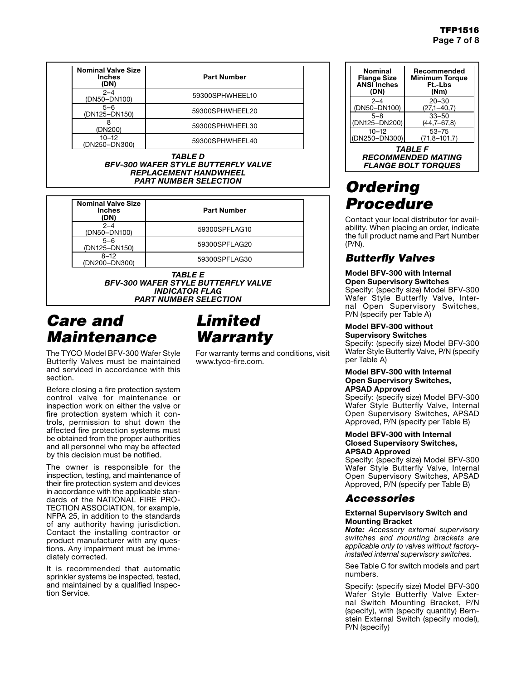| <b>Nominal Valve Size</b><br><b>Inches</b><br>(DN) | <b>Part Number</b> |
|----------------------------------------------------|--------------------|
| $2 - 4$<br>(DN50-DN100)                            | 59300SPHWHEEL10    |
| $5 - 6$<br>(DN125-DN150)                           | 59300SPHWHEEL20    |
| (DN200)                                            | 59300SPHWHEEL30    |
| $10 - 12$<br>(DN250-DN300)                         | 59300SPHWHEEL40    |

*TABLE D BFV-300 WAFER STYLE BUTTERFLY VALVE REPLACEMENT HANDWHEEL PART NUMBER SELECTION*

| <b>Nominal Valve Size</b><br><b>Inches</b><br>(DN) | <b>Part Number</b> |
|----------------------------------------------------|--------------------|
| $2 - 4$<br>(DN50-DN100)                            | 59300SPFLAG10      |
| $5 - 6$<br>(DN125-DN150)                           | 59300SPFLAG20      |
| $8 - 12$<br>(DN200-DN300)                          | 59300SPFLAG30      |

*TABLE E BFV-300 WAFER STYLE BUTTERFLY VALVE INDICATOR FLAG PART NUMBER SELECTION*

# *Care and Maintenance*

The TYCO Model BFV-300 Wafer Style Butterfly Valves must be maintained and serviced in accordance with this section.

Before closing a fire protection system control valve for maintenance or inspection work on either the valve or fire protection system which it controls, permission to shut down the affected fire protection systems must be obtained from the proper authorities and all personnel who may be affected by this decision must be notified.

The owner is responsible for the inspection, testing, and maintenance of their fire protection system and devices in accordance with the applicable standards of the NATIONAL FIRE PRO-TECTION ASSOCIATION, for example, NFPA 25, in addition to the standards of any authority having jurisdiction. Contact the installing contractor or product manufacturer with any questions. Any impairment must be immediately corrected.

It is recommended that automatic sprinkler systems be inspected, tested, and maintained by a qualified Inspection Service.

# *Limited Warranty*

For warranty terms and conditions, visit www.tyco-fire.com.

| <b>Nominal</b><br><b>Flange Size</b><br><b>ANSI</b> Inches<br>(DN) | Recommended<br><b>Minimum Torque</b><br>Ft.-Lbs<br>(Nm) |
|--------------------------------------------------------------------|---------------------------------------------------------|
| $2 - 4$                                                            | $20 - 30$                                               |
| (DN50-DN100)                                                       | $(27,1-40,7)$                                           |
| $5 - 8$                                                            | $33 - 50$                                               |
| (DN125-DN200)                                                      | $(44,7-67,8)$                                           |
| $10 - 12$                                                          | $53 - 75$                                               |
| (DN250-DN300)                                                      | $(71,8 - 101,7)$                                        |

*TABLE F RECOMMENDED MATING FLANGE BOLT TORQUES*

# *Ordering Procedure*

Contact your local distributor for availability. When placing an order, indicate the full product name and Part Number (P/N).

# *Butterfly Valves*

# Model BFV-300 with Internal

Open Supervisory Switches Specify: (specify size) Model BFV-300 Wafer Style Butterfly Valve, Internal Open Supervisory Switches, P/N (specify per Table A)

# Model BFV-300 without

Supervisory Switches Specify: (specify size) Model BFV-300 Wafer Style Butterfly Valve, P/N (specify per Table A)

#### Model BFV-300 with Internal Open Supervisory Switches, APSAD Approved

Specify: (specify size) Model BFV-300 Wafer Style Butterfly Valve, Internal Open Supervisory Switches, APSAD Approved, P/N (specify per Table B)

#### Model BFV-300 with Internal Closed Supervisory Switches, APSAD Approved

Specify: (specify size) Model BFV-300 Wafer Style Butterfly Valve, Internal Open Supervisory Switches, APSAD Approved, P/N (specify per Table B)

# *Accessories*

### External Supervisory Switch and Mounting Bracket

*Note: Accessory external supervisory switches and mounting brackets are applicable only to valves without factoryinstalled internal supervisory switches.*

See Table C for switch models and part numbers.

Specify: (specify size) Model BFV-300 Wafer Style Butterfly Valve External Switch Mounting Bracket, P/N (specify), with (specify quantity) Bernstein External Switch (specify model), P/N (specify)